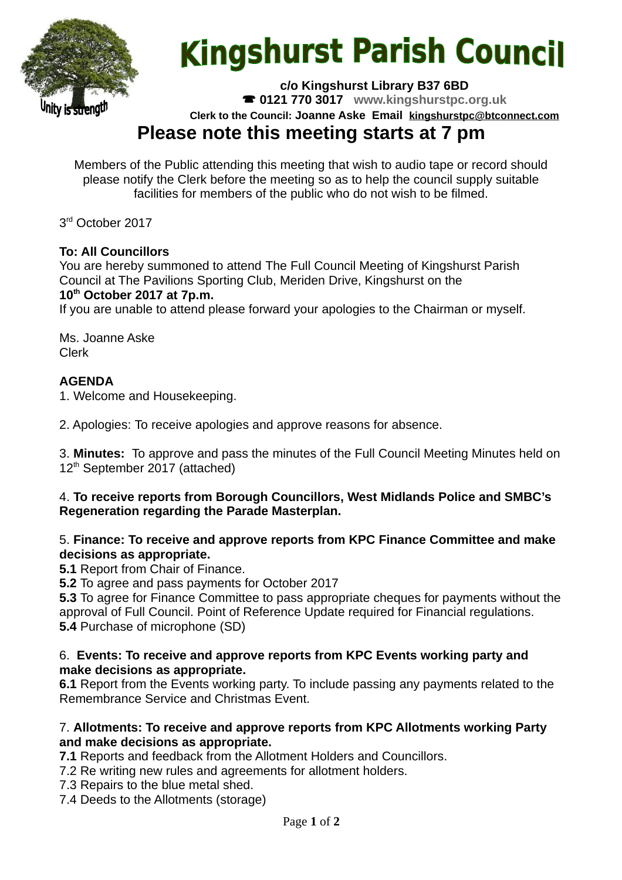

# **Kingshurst Parish Council**

**c/o Kingshurst Library B37 6BD**

**0121 770 3017 www.kingshurstpc.org.uk**

**Clerk to the Council: Joanne Aske Email [kingshurstpc@btconnect.com](mailto:kingshurstpc@btconnect.com)**

# **Please note this meeting starts at 7 pm**

Members of the Public attending this meeting that wish to audio tape or record should please notify the Clerk before the meeting so as to help the council supply suitable facilities for members of the public who do not wish to be filmed.

3 rd October 2017

## **To: All Councillors**

You are hereby summoned to attend The Full Council Meeting of Kingshurst Parish Council at The Pavilions Sporting Club, Meriden Drive, Kingshurst on the **10th October 2017 at 7p.m.**

If you are unable to attend please forward your apologies to the Chairman or myself.

Ms. Joanne Aske Clerk

# **AGENDA**

1. Welcome and Housekeeping.

2. Apologies: To receive apologies and approve reasons for absence.

3. **Minutes:** To approve and pass the minutes of the Full Council Meeting Minutes held on 12<sup>th</sup> September 2017 (attached)

#### 4. **To receive reports from Borough Councillors, West Midlands Police and SMBC's Regeneration regarding the Parade Masterplan.**

#### 5. **Finance: To receive and approve reports from KPC Finance Committee and make decisions as appropriate.**

**5.1** Report from Chair of Finance.

**5.2** To agree and pass payments for October 2017

**5.3** To agree for Finance Committee to pass appropriate cheques for payments without the approval of Full Council. Point of Reference Update required for Financial regulations. **5.4** Purchase of microphone (SD)

#### 6. **Events: To receive and approve reports from KPC Events working party and make decisions as appropriate.**

**6.1** Report from the Events working party. To include passing any payments related to the Remembrance Service and Christmas Event.

#### 7. **Allotments: To receive and approve reports from KPC Allotments working Party and make decisions as appropriate.**

**7.1** Reports and feedback from the Allotment Holders and Councillors.

7.2 Re writing new rules and agreements for allotment holders.

7.3 Repairs to the blue metal shed.

7.4 Deeds to the Allotments (storage)